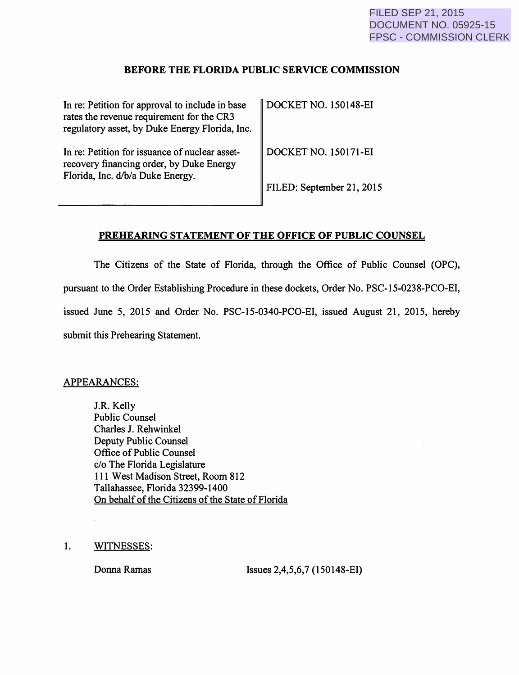#### BEFORE THE FLORIDA PUBLIC SERVICE COMMISSION

| In re: Petition for approval to include in base<br>rates the revenue requirement for the CR3<br>regulatory asset, by Duke Energy Florida, Inc. | DOCKET NO. 150148-EI        |
|------------------------------------------------------------------------------------------------------------------------------------------------|-----------------------------|
| In re: Petition for issuance of nuclear asset-<br>recovery financing order, by Duke Energy<br>Florida, Inc. d/b/a Duke Energy.                 | <b>DOCKET NO. 150171-EI</b> |
|                                                                                                                                                | FILED: September 21, 2015   |

#### PREHEARING STATEMENT OF THE OFFICE OF PUBLIC COUNSEL

The Citizens of the State of Florida, through the Office of Public Counsel (OPC), pursuant to the Order Establishing Procedure in these dockets, Order No. PSC-15-0238-PCO-EI, issued June 5, 2015 and Order No. PSC-15-0340-PCO-EI, issued August 21, 2015, hereby submit this Prehearing Statement.

#### APPEARANCES:

J.R. Kelly Public Counsel Charles J. Rehwinkel Deputy Public Counsel Office of Public Counsel c/o The Florida Legislature 111 West Madison Street, Room 812 Tallahassee, Florida 32399-1400 On behalf of the Citizens of the State of Florida

1. WITNESSES:

Donna Ramas Issues 2,4,5,6,7 (150148-EI)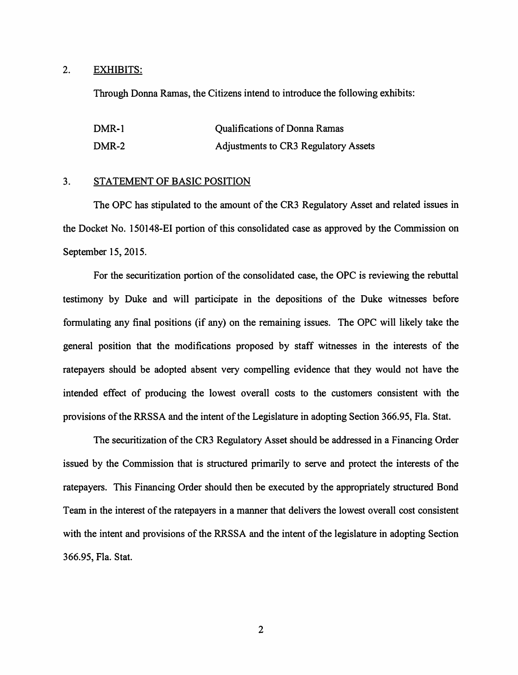#### 2. EXHIBITS:

Through Donna Ramas, the Citizens intend to introduce the following exhibits:

| DMR-1 | <b>Qualifications of Donna Ramas</b> |
|-------|--------------------------------------|
| DMR-2 | Adjustments to CR3 Regulatory Assets |

#### 3. STATEMENT OF BASIC POSITION

The OPC has stipulated to the amount of the CR3 Regulatory Asset and related issues in the Docket No. 150148-EI portion of this consolidated case as approved by the Commission on September 15, 2015.

For the securitization portion of the consolidated case, the OPC is reviewing the rebuttal testimony by Duke and will participate in the depositions of the Duke witnesses before formulating any final positions (if any) on the remaining issues. The OPC will likely take the general position that the modifications proposed by staff witnesses in the interests of the ratepayers should be adopted absent very compelling evidence that they would not have the intended effect of producing the lowest overall costs to the customers consistent with the provisions of the RRSSA and the intent of the Legislature in adopting Section 366.95, Fla. Stat.

The securitization of the CR3 Regulatory Asset should be addressed in a Financing Order issued by the Commission that is structured primarily to serve and protect the interests of the ratepayers. This Financing Order should then be executed by the appropriately structured Bond Team in the interest of the ratepayers in a manner that delivers the lowest overall cost consistent with the intent and provisions of the RRSSA and the intent of the legislature in adopting Section 366.95, Fla. Stat.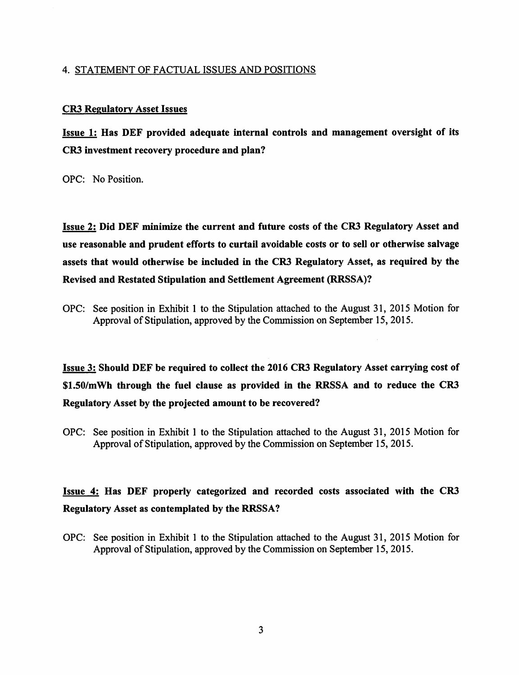#### 4. STATEMENT OF FACTUAL ISSUES AND POSITIONS

#### CR3 Regulatory Asset Issues

Issue 1: Has DEF provided adequate internal controls and management oversight of its CR3 investment recovery procedure and plan?

OPC: No Position.

Issue 2: Did DEF minimize the current and future costs of the CR3 Regulatory Asset and use reasonable and prudent efforts to curtail avoidable costs or to sell or otherwise salvage assets that would otherwise be included in the CR3 Regulatory Asset, as required by the Revised and Restated Stipulation and Settlement Agreement (RRSSA)?

OPC: See position in Exhibit 1 to the Stipulation attached to the August 31, 2015 Motion for Approval of Stipulation, approved by the Commission on September 15, 2015.

Issue 3: Should DEF be required to coUect the 2016 CR3 Regulatory Asset carrying cost of \$1.50/mWh through the fuel clause as provided in the RRSSA and to reduce the CR3 Regulatory Asset by the projected amount to be recovered?

OPC: See position in Exhibit I to the Stipulation attached to the August 31, 2015 Motion for Approval of Stipulation, approved by the Commission on September 15, 2015.

### Issue 4: Has DEF properly categorized and recorded costs associated with the CR3 Regulatory Asset as contemplated by the RRSSA?

OPC: See position in Exhibit 1 to the Stipulation attached to the August 31, 2015 Motion for Approval of Stipulation, approved by the Commission on September 15, 2015.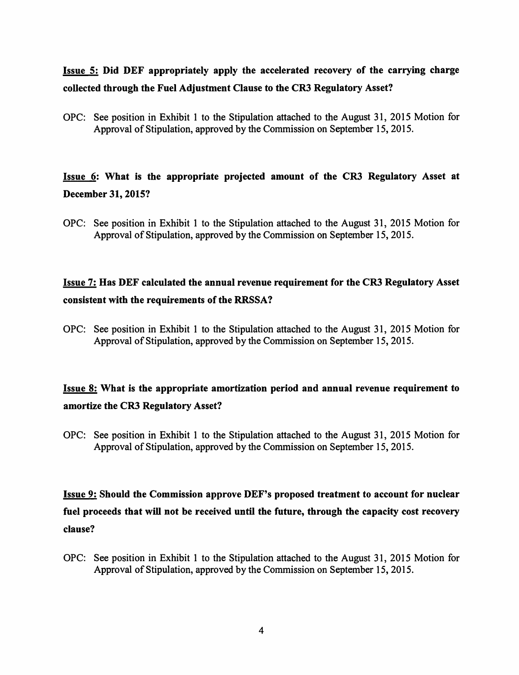### Issue 5: Did DEF appropriately apply the accelerated recovery of the carrying charge collected through the Fuel Adjustment Clause to the CR3 Regulatory Asset?

OPC: See position in Exhibit 1 to the Stipulation attached to the August 31, 2015 Motion for Approval of Stipulation, approved by the Commission on September 15, 2015.

### Issue 6: What is the appropriate projected amount of the CR3 Regulatory Asset at December 31, 2015?

OPC: See position in Exhibit 1 to the Stipulation attached to the August 31, 2015 Motion for Approval of Stipulation, approved by the Commission on September 15, 2015.

### Issue 7: Has DEF calculated the annual revenue requirement for the CR3 Regulatory Asset consistent with the requirements of the RRSSA?

OPC: See position in Exhibit 1 to the Stipulation attached to the August 31, 2015 Motion for Approval of Stipulation, approved by the Commission on September 15, 2015.

### Issue 8: What is the appropriate amortization period and annual revenue requirement to amortize the CR3 Regulatory Asset?

OPC: See position in Exhibit 1 to the Stipulation attached to the August 31, 2015 Motion for Approval of Stipulation, approved by the Commission on September 15, 2015.

# Issue 9: Should the Commission approve DEF's proposed treatment to account for nuclear fuel proceeds that will not be received until the future, through the capacity cost recovery clause?

OPC: See position in Exhibit 1 to the Stipulation attached to the August 31, 2015 Motion for Approval of Stipulation, approved by the Commission on September 15, 2015.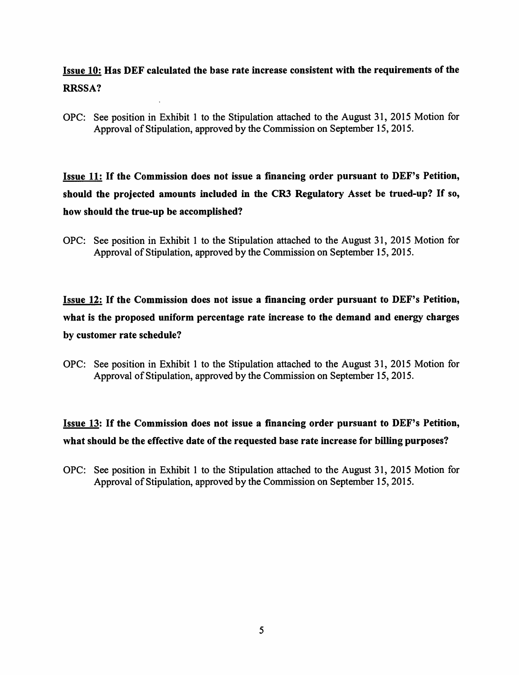### Issue 10: Has DEF calculated the base rate increase consistent with the requirements of the RRSSA?

OPC: See position in Exhibit 1 to the Stipulation attached to the August 31, 2015 Motion for Approval of Stipulation, approved by the Commission on September 15,2015.

Issue 11: If the Commission does not issue a financing order pursuant to DEF's Petition, should the projected amounts included in the CR3 Regulatory Asset be trued-up? If so, how should the true-up be accomplished?

OPC: See position in Exhibit 1 to the Stipulation attached to the August 31, 2015 Motion for Approval of Stipulation, approved by the Commission on September 15, 2015.

Issue 12: If the Commission does not issue a financing order pursuant to DEF's Petition, what is the proposed uniform percentage rate increase to the demand and energy charges by customer rate schedule?

OPC: See position in Exhibit 1 to the Stipulation attached to the August 31, 2015 Motion for Approval of Stipulation, approved by the Commission on September 15, 2015.

### Issue 13: If the Commission does not issue a financing order pursuant to DEF's Petition, what should be the effective date of the requested base rate increase for billing purposes?

OPC: See position in Exhibit 1 to the Stipulation attached to the August 31, 2015 Motion for Approval of Stipulation, approved by the Commission on September 15, 2015.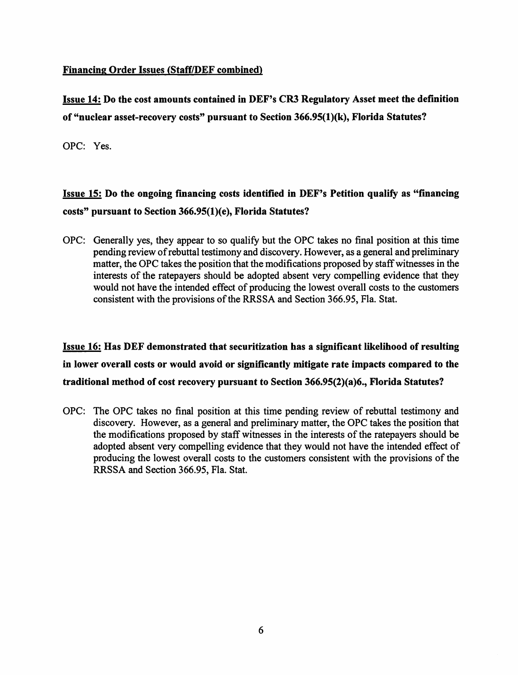#### Financing Order Issues (Staff/DEF combined)

Issue 14: Do the cost amounts contained in DEF's CR3 Regulatory Asset meet the definition of "nuclear asset-recovery costs" pursuant to Section 366.95(1)(k), Florida Statutes?

OPC: Yes.

# Issue 15: Do the ongoing financing costs identified in DEF's Petition qualify as "financing costs" pursuant to Section 366.95(1)(e), Florida Statutes?

OPC: Generally yes, they appear to so qualify but the OPC takes no final position at this time pending review of rebuttal testimony and discovery. However, as a general and preliminary matter, the OPC takes the position that the modifications proposed by staff witnesses in the interests of the ratepayers should be adopted absent very compelling evidence that they would not have the intended effect of producing the lowest overall costs to the customers consistent with the provisions of the RRSSA and Section 366.95, Fla. Stat.

Issue 16: Has DEF demonstrated that securitization has a significant likelihood of resulting in lower overall costs or would avoid or significantly mitigate rate impacts compared to the traditional method of cost recovery pursuant to Section 366.95(2)(a)6., Florida Statutes?

OPC: The OPC takes no final position at this time pending review of rebuttal testimony and discovery. However, as a general and preliminary matter, the OPC takes the position that the modifications proposed by staff witnesses in the interests of the ratepayers should be adopted absent very compelling evidence that they would not have the intended effect of producing the lowest overall costs to the customers consistent with the provisions of the RRSSA and Section 366.95, Fla. Stat.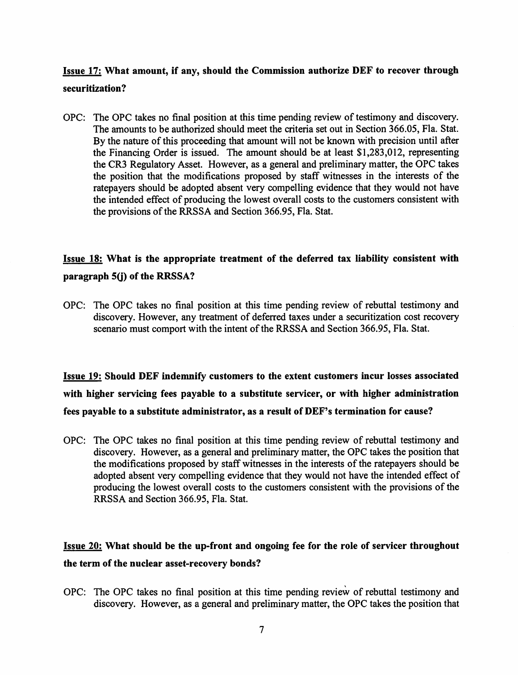#### Issue 17: What amount, if any, should the Commission authorize DEF to recover through securitization?

OPC: The OPC takes no final position at this time pending review of testimony and discovery. The amounts to be authorized should meet the criteria set out in Section 366.05, Fla. Stat. By the nature of this proceeding that amount will not be known with precision until after the Financing Order is issued. The amount should be at least \$1,283,012, representing the CR3 Regulatory Asset. However, as a general and preliminary matter, the OPC takes the position that the modifications proposed by staff witnesses in the interests of the ratepayers should be adopted absent very compelling evidence that they would not have the intended effect of producing the lowest overall costs to the customers consistent with the provisions of the RRSSA and Section 366.95, Fla. Stat.

### Issue 18: What is the appropriate treatment of the deferred tax liability consistent with paragraph 5(j) of the RRSSA?

OPC: The OPC takes no final position at this time pending review of rebuttal testimony and discovery. However, any treatment of deferred taxes under a securitization cost recovery scenario must comport with the intent of the RRSSA and Section 366.95, Fla. Stat.

Issue 19: Should DEF indemnify customers to the extent customers incur losses associated with higher servicing fees payable to a substitute servicer, or with higher administration fees payable to a substitute administrator, as a result of DEF's termination for cause?

OPC: The OPC takes no final position at this time pending review of rebuttal testimony and discovery. However, as a general and preliminary matter, the OPC takes the position that the modifications proposed by staff witnesses in the interests of the ratepayers should be adopted absent very compelling evidence that they would not have the intended effect of producing the lowest overall costs to the customers consistent with the provisions of the RRSSA and Section 366.95, Fla. Stat.

### Issue 20: What should be the up-front and ongoing fee for the role of servicer throughout the term of the nuclear asset-recovery bonds?

OPC: The OPC takes no final position at this time pending review of rebuttal testimony and discovery. However, as a general and preliminary matter, the OPC takes the position that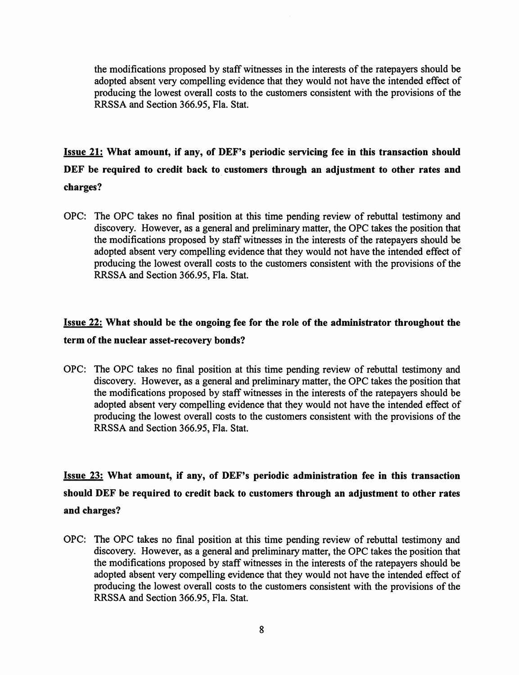the modifications proposed by staff witnesses in the interests of the ratepayers should be adopted absent very compelling evidence that they would not have the intended effect of producing the lowest overall costs to the customers consistent with the provisions of the RRSSA and Section 366.95, Fla. Stat.

# Issue 21: What amount, if any, of DEF's periodic servicing fee in this transaction should DEF be required to credit back to customers through an adjustment to other rates and

#### charges?

OPC: The OPC takes no final position at this time pending review of rebuttal testimony and discovery. However, as a general and preliminary matter, the OPC takes the position that the modifications proposed by staff witnesses in the interests of the ratepayers should be adopted absent very compelling evidence that they would not have the intended effect of producing the lowest overall costs to the customers consistent with the provisions of the RRSSA and Section 366.95, Fla. Stat.

### Issue 22: What should be the ongoing fee for the role of the administrator throughout the term of the nuclear asset-recovery bonds?

OPC: The OPC takes no final position at this time pending review of rebuttal testimony and discovery. However, as a general and preliminary matter, the OPC takes the position that the modifications proposed by staff witnesses in the interests of the ratepayers should be adopted absent very compelling evidence that they would not have the intended effect of producing the lowest overall costs to the customers consistent with the provisions of the RRSSA and Section 366.95, Fla. Stat.

# Issue 23: What amount, if any, of DEF's periodic administration fee in this transaction should DEF be required to credit back to customers through an adjustment to other rates and charges?

OPC: The OPC takes no final position at this time pending review of rebuttal testimony and discovery. However, as a general and preliminary matter, the OPC takes the position that the modifications proposed by staff witnesses in the interests of the ratepayers should be adopted absent very compelling evidence that they would not have the intended effect of producing the lowest overall costs to the customers consistent with the provisions of the RRSSA and Section 366.95, Fla. Stat.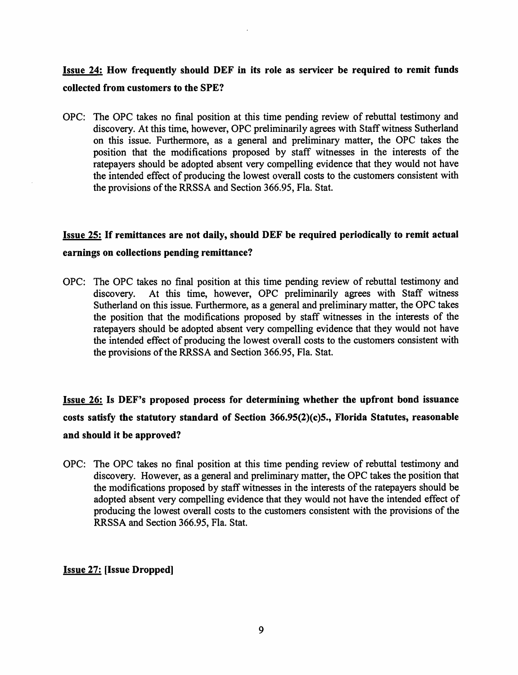### Issue 24: How frequently should DEF in its role as servicer be required to remit funds collected from customers to the SPE?

OPC: The OPC takes no final position at this time pending review of rebuttal testimony and discovery. At this time, however, OPC preliminarily agrees with Staff witness Sutherland on this issue. Furthennore, as a general and preliminary matter, the OPC takes the position that the modifications proposed by staff witnesses in the interests of the ratepayers should be adopted absent very compelling evidence that they would not have the intended effect of producing the lowest overall costs to the customers consistent with the provisions of the RRSSA and Section 366.95, Fla. Stat.

### Issue 25: If remittances are not daily, should DEF be required periodically to remit actual earnings on collections pending remittance?

OPC: The OPC takes no final position at this time pending review of rebuttal testimony and discovery. At this time, however, OPC preliminarily agrees with Staff witness Sutherland on this issue. Furthermore, as a general and preliminary matter, the OPC takes the position that the modifications proposed by staff witnesses in the interests of the ratepayers should be adopted absent very compelling evidence that they would not have the intended effect of producing the lowest overall costs to the customers consistent with the provisions of the RRSSA and Section 366.95, Fla. Stat.

Issue 26: Is DEF's proposed process for determining whether the upfront bond issuance costs satisfy the statutory standard of Section 366.95(2)(c)5., Florida Statutes, reasonable and should it be approved?

OPC: The OPC takes no final position at this time pending review of rebuttal testimony and discovery. However, as a general and preliminary matter, the OPC takes the position that the modifications proposed by staff witnesses in the interests of the ratepayers should be adopted absent very compelling evidence that they would not have the intended effect of producing the lowest overall costs to the customers consistent with the provisions of the RRSSA and Section 366.95, Fla. Stat.

#### Issue 27: [Issue Dropped]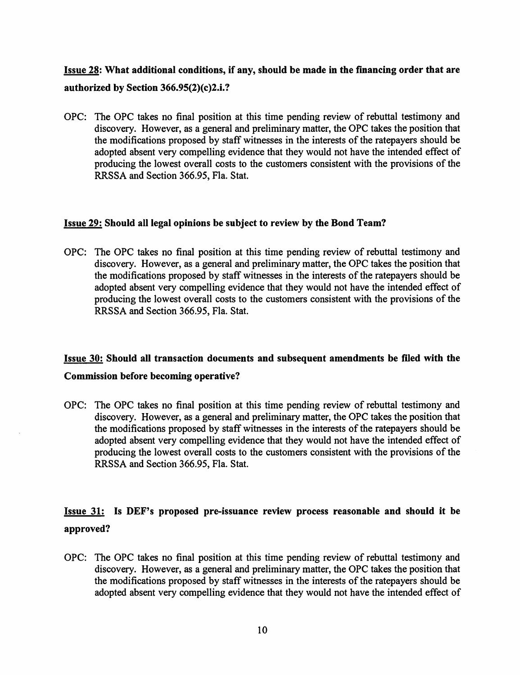### Issue 28: What additional conditions, if any, should be made in the fmancing order that are authorized by Section  $366.95(2)(c)2.i.?$

OPC: The OPC takes no final position at this time pending review of rebuttal testimony and discovery. However, as a general and preliminary matter, the OPC takes the position that the modifications proposed by staff witnesses in the interests of the ratepayers should be adopted absent very compelling evidence that they would not have the intended effect of producing the lowest overall costs to the customers consistent with the provisions of the RRSSA and Section 366.95, Fla. Stat.

#### Issue 29: Should all legal opinions be subject to review by the Bond Team?

OPC: The OPC takes no final position at this time pending review of rebuttal testimony and discovery. However, as a general and preliminary matter, the OPC takes the position that the modifications proposed by staff witnesses in the interests of the ratepayers should be adopted absent very compelling evidence that they would not have the intended effect of producing the lowest overall costs to the customers consistent with the provisions of the RRSSA and Section 366.95, Fla. Stat.

### Issue 30: Should all transaction documents and subsequent amendments be filed with the Commission before becoming operative?

### OPC: The OPC takes no final position at this time pending review of rebuttal testimony and discovery. However, as a general and preliminary matter, the OPC takes the position that the modifications proposed by staff witnesses in the interests of the ratepayers should be adopted absent very compelling evidence that they would not have the intended effect of producing the lowest overall costs to the customers consistent with the provisions of the

RRSSA and Section 366.95, Fla. Stat.

### Issue 31: Is DEF's proposed pre-issuance review process reasonable and should it be approved?

OPC: The OPC takes no final position at this time pending review of rebuttal testimony and discovery. However, as a general and preliminary matter, the OPC takes the position that the modifications proposed by staff witnesses in the interests of the ratepayers should be adopted absent very compelling evidence that they would not have the intended effect of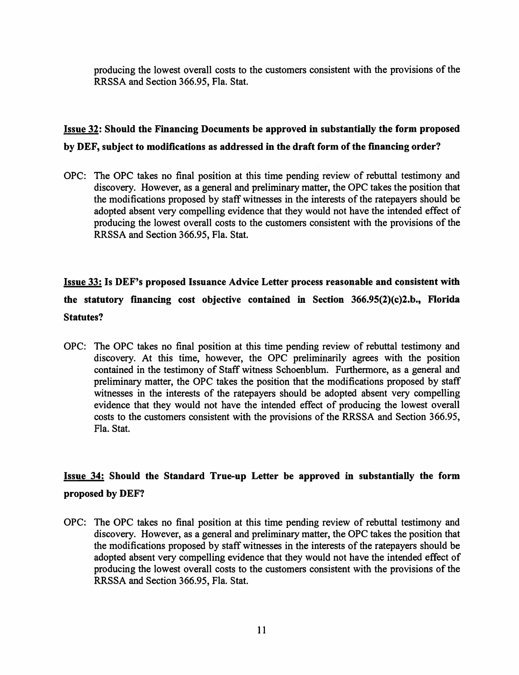producing the lowest overall costs to the customers consistent with the provisions of the RRSSA and Section 366.95, Fla. Stat.

### Issue 32: Should the Financing Documents be approved in substantially the form proposed by DEF, subject to modifications as addressed in the draft form of the fmancing order?

OPC: The OPC takes no final position at this time pending review of rebuttal testimony and discovery. However, as a general and preliminary matter, the OPC takes the position that the modifications proposed by staff witnesses in the interests of the ratepayers should be adopted absent very compelling evidence that they would not have the intended effect of producing the lowest overall costs to the customers consistent with the provisions of the RRSSA and Section 366.95, Fla. Stat.

# Issue 33: Is DEF's proposed Issuance Advice Letter process reasonable and consistent with the statutory fmancing cost objective contained in Section 366.95(2)(c)2.b., Florida Statutes?

OPC: The OPC takes no final position at this time pending review of rebuttal testimony and discovery. At this time, however, the OPC preliminarily agrees with the position contained in the testimony of Staff witness Schoenblum. Furthermore, as a general and preliminary matter, the OPC takes the position that the modifications proposed by staff witnesses in the interests of the ratepayers should be adopted absent very compelling evidence that they would not have the intended effect of producing the lowest overall costs to the customers consistent with the provisions of the RRSSA and Section 366.95, Fla. Stat.

### Issue 34: Should the Standard True-up Letter be approved in substantially the form proposed by DEF?

OPC: The OPC takes no final position at this time pending review of rebuttal testimony and discovery. However, as a general and preliminary matter, the OPC takes the position that the modifications proposed by staff witnesses in the interests of the ratepayers should be adopted absent very compelling evidence that they would not have the intended effect of producing the lowest overall costs to the customers consistent with the provisions of the RRSSA and Section 366.95, Fla. Stat.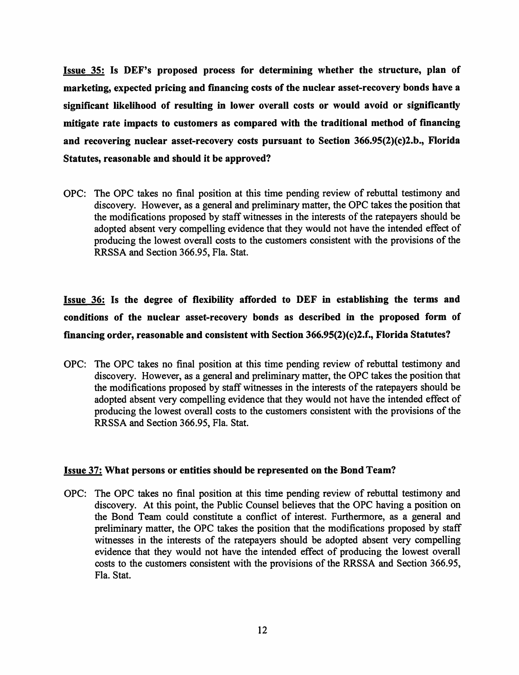Issue 35: Is DEF's proposed process for determining whether the structure, plan of marketing, expected pricing and financing costs of the nuclear asset-recovery bonds have a significant likelihood of resulting in lower overall costs or would avoid or significantly mitigate rate impacts to customers as compared with the traditional method of financing and recovering nuclear asset-recovery costs pursuant to Section  $366.95(2)(c)2.b.,$  Florida Statutes, reasonable and should it be approved?

OPC: The OPC takes no final position at this time pending review of rebuttal testimony and discovery. However, as a general and preliminary matter, the OPC takes the position that the modifications proposed by staff witnesses in the interests of the ratepayers should be adopted absent very compelling evidence that they would not have the intended effect of producing the lowest overall costs to the customers consistent with the provisions of the RRSSA and Section 366.95, Fla. Stat.

Issue 36: Is the degree of flexibility afforded to DEF in establishing the terms and conditions of the nuclear asset-recovery bonds as described in the proposed form of financing order, reasonable and consistent with Section  $366.95(2)(c)2.f.,$  Florida Statutes?

OPC: The OPC takes no final position at this time pending review of rebuttal testimony and discovery. However, as a general and preliminary matter, the OPC takes the position that the modifications proposed by staff witnesses in the interests of the ratepayers should be adopted absent very compelling evidence that they would not have the intended effect of producing the lowest overall costs to the customers consistent with the provisions of the RRSSA and Section 366.95, Fla. Stat.

#### Issue 37: What persons or entities should be represented on the Bond Team?

OPC: The OPC takes no final position at this time pending review of rebuttal testimony and discovery. At this point, the Public Counsel believes that the OPC having a position on the Bond Team could constitute a conflict of interest. Furthermore, as a general and preliminary matter, the OPC takes the position that the modifications proposed by staff witnesses in the interests of the ratepayers should be adopted absent very compelling evidence that they would not have the intended effect of producing the lowest overall costs to the customers consistent with the provisions of the RRSSA and Section 366.95, Fla. Stat.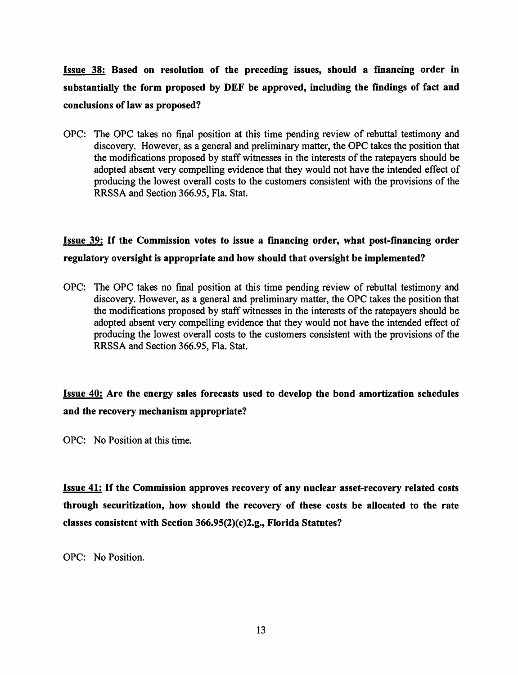Issue 38: Based on resolution of the preceding issues, should a fmancing order in substantially the form proposed by DEF be approved, including the findings of fact and conclusions of law as proposed?

OPC: The OPC takes no final position at this time pending review of rebuttal testimony and discovery. However, as a general and preliminary matter, the OPC takes the position that the modifications proposed by staff witnesses in the interests of the ratepayers should be adopted absent very compelling evidence that they would not have the intended effect of producing the lowest overall costs to the customers consistent with the provisions of the RRSSA and Section 366.95, Fla. Stat.

### Issue 39: If the Commission votes to issue a fmancing order, what post-financing order regulatory oversight is appropriate and how should that oversight be implemented?

OPC: The OPC takes no final position at this time pending review of rebuttal testimony and discovery. However, as a general and preliminary matter, the OPC takes the position that the modifications proposed by staff witnesses in the interests of the ratepayers should be adopted absent very compelling evidence that they would not have the intended effect of producing the lowest overall costs to the customers consistent with the provisions of the RRSSA and Section 366.95, Fla. Stat.

### Issue 40: Are the energy sales forecasts used to develop the bond amortization schedules and the recovery mechanism appropriate?

OPC: No Position at this time.

Issue 41: If the Commission approves recovery of any nuclear asset-recovery related costs through securitization, how should the recovery of these costs be allocated to the rate classes consistent with Section 366.95(2)(c)2.g., Florida Statutes?

OPC: No Position.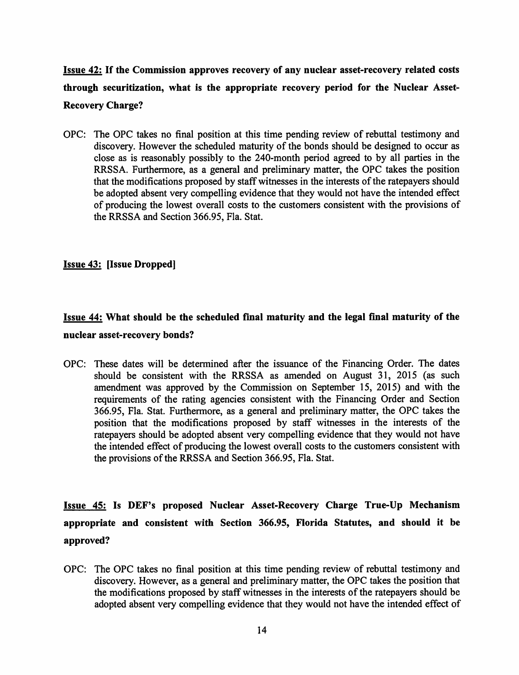# Issue 42: If the Commission approves recovery of any nuclear asset-recovery related costs through securitization, what is the appropriate recovery period for the Nuclear Asset-Recovery Charge?

OPC: The OPC takes no final position at this time pending review of rebuttal testimony and discovery. However the scheduled maturity of the bonds should be designed to occur as close as is reasonably possibly to the 240-month period agreed to by all parties in the RRSSA. Furthermore, as a general and preliminary matter, the OPC takes the position that the modifications proposed by staff witnesses in the interests of the ratepayers should be adopted absent very compelling evidence that they would not have the intended effect of producing the lowest overall costs to the customers consistent with the provisions of the RRSSA and Section 366.95, Fla. Stat.

#### Issue 43: [Issue Dropped]

### Issue 44: What should be the scheduled fmal maturity and the legal fmal maturity of the nuclear asset-recovery bonds?

OPC: These dates will be determined after the issuance of the Financing Order. The dates should be consistent with the RRSSA as amended on August 31, 2015 (as such amendment was approved by the Commission on September 15, 2015) and with the requirements of the rating agencies consistent with the Financing Order and Section 366.95, Fla. Stat. Furthermore, as a general and preliminary matter, the OPC takes the position that the modifications proposed by staff witnesses in the interests of the ratepayers should be adopted absent very compelling evidence that they would not have the intended effect of producing the lowest overall costs to the customers consistent with the provisions of the RRSSA and Section 366.95, Fla. Stat.

Issue 45: Is DEF's proposed Nuclear Asset-Recovery Charge True-Up Mechanism appropriate and consistent with Section 366.95, Florida Statutes, and should it be approved?

OPC: The OPC takes no final position at this time pending review of rebuttal testimony and discovery. However, as a general and preliminary matter, the OPC takes the position that the modifications proposed by staff witnesses in the interests of the ratepayers should be adopted absent very compelling evidence that they would not have the intended effect of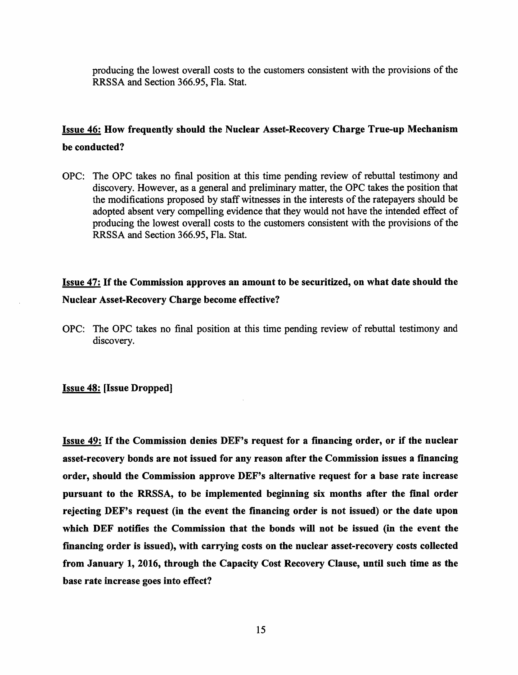producing the lowest overall costs to the customers consistent with the provisions of the RRSSA and Section 366.95, Fla. Stat.

#### Issue 46: How frequently should the Nuclear Asset-Recovery Charge True-up Mechanism be conducted?

OPC: The OPC takes no final position at this time pending review of rebuttal testimony and discovery. However, as a general and preliminary matter, the OPC takes the position that the modifications proposed by staff witnesses in the interests of the ratepayers should be adopted absent very compelling evidence that they would not have the intended effect of producing the lowest overall costs to the customers consistent with the provisions of the RRSSA and Section 366.95, Fla. Stat.

### Issue 47: If the Commission approves an amount to be securitized, on what date should the Nuclear Asset-Recovery Charge become effective?

OPC: The OPC takes no final position at this time pending review of rebuttal testimony and discovery.

#### Issue 48: [Issue Dropped]

Issue 49: If the Commission denies DEF's request for a fmancing order, or if the nuclear asset-recovery bonds are not issued for any reason after the Commission issues a fmancing order, should the Commission approve DEF's alternative request for a base rate increase pursuant to the RRSSA, to be implemented beginning six months after the fmal order rejecting DEF's request (in the event the financing order is not issued) or the date upon which DEF notifies the Commission that the bonds will not be issued (in the event the fmancing order is issued), with carrying costs on the nuclear asset-recovery costs collected from January 1, 2016, through the Capacity Cost Recovery Clause, until such time as the base rate increase goes into effect?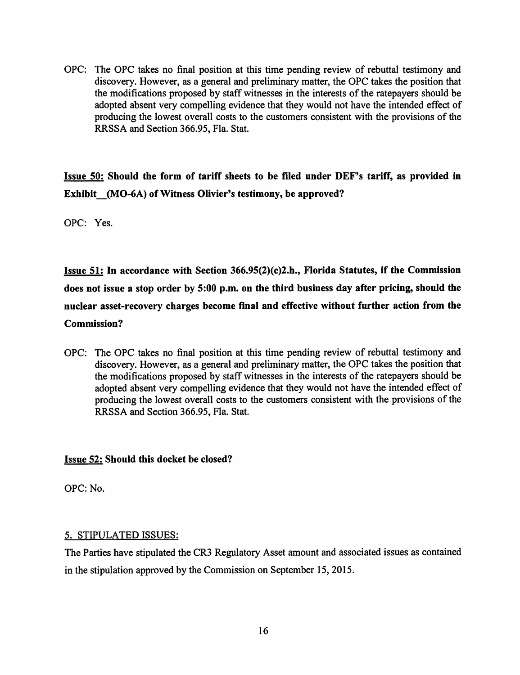OPC: The OPC takes no final position at this time pending review of rebuttal testimony and discovery. However, as a general and preliminary matter, the OPC takes the position that the modifications proposed by staff witnesses in the interests of the ratepayers should be adopted absent very compelling evidence that they would not have the intended effect of producing the lowest overall costs to the customers consistent with the provisions of the RRSSA and Section 366.95, Fla. Stat.

Issue 50: Should the form of tariff sheets to be filed under DEF's tariff, as provided in Exhibit (MO-6A) of Witness Olivier's testimony, be approved?

OPC: Yes.

Issue 51: In accordance with Section 366.95(2)(c)2.h., Florida Statutes, if the Commission does not issue a stop order by 5:00 p.m. on the third business day after pricing, should the nuclear asset-recovery charges become fmal and effective without further action from the Commission?

OPC: The OPC takes no final position at this time pending review of rebuttal testimony and discovery. However, as a general and preliminary matter, the OPC takes the position that the modifications proposed by staff witnesses in the interests of the ratepayers should be adopted absent very compelling evidence that they would not have the intended effect of producing the lowest overall costs to the customers consistent with the provisions of the RRSSA and Section 366.95, Fla. Stat.

#### Issue 52: Should this docket be closed?

OPC: No.

#### 5. STIPULATED ISSUES:

The Parties have stipulated the CR3 Regulatory Asset amount and associated issues as contained in the stipulation approved by the Commission on September 15, 2015.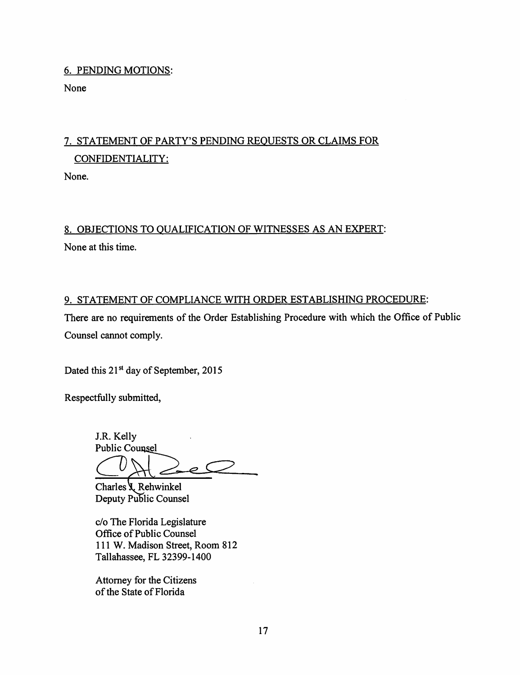#### 6. PENDING MOTIONS:

None

# 7. STATEMENT OF PARTY'S PENDING REQUESTS OR CLAIMS FOR CONFIDENTIALITY:

None.

### 8. OBJECTIONS TO QUALIFICATION OF WITNESSES AS AN EXPERT:

None at this time.

#### 9. STATEMENT OF COMPLIANCE WITH ORDER ESTABLISHING PROCEDURE:

There are no requirements of the Order Establishing Procedure with which the Office of Public Counsel cannot comply.

Dated this 21<sup>st</sup> day of September, 2015

Respectfully submitted,

J.R. Kelly **Public Counsel** 

Charles *J*, Rehwinkel Deputy Public Counsel

c/o The Florida Legislature Office of Public Counsel 111 W. Madison Street, Room 812 Tallahassee, FL 32399-1400

Attorney for the Citizens of the State of Florida